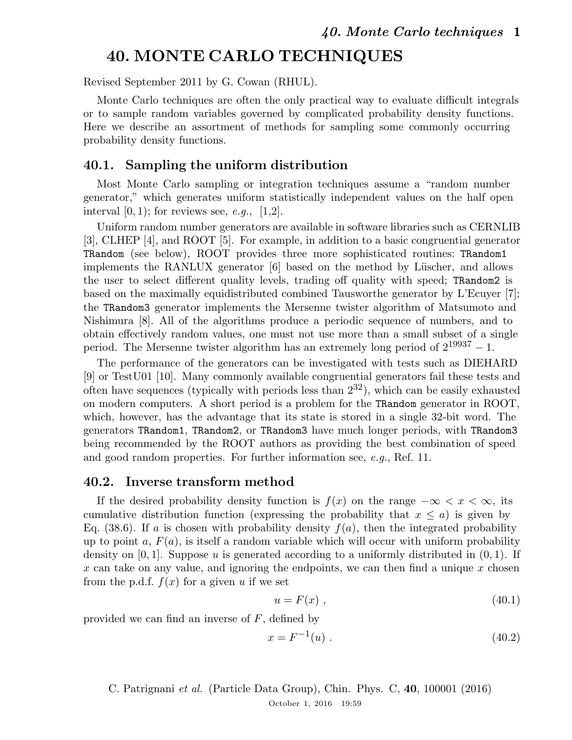# 40. MONTE CARLO TECHNIQUES

Revised September 2011 by G. Cowan (RHUL).

Monte Carlo techniques are often the only practical way to evaluate difficult integrals or to sample random variables governed by complicated probability density functions. Here we describe an assortment of methods for sampling some commonly occurring probability density functions.

## 40.1. Sampling the uniform distribution

Most Monte Carlo sampling or integration techniques assume a "random number generator," which generates uniform statistically independent values on the half open interval  $[0, 1)$ ; for reviews see, *e.g.*,  $[1,2]$ .

Uniform random number generators are available in software libraries such as CERNLIB [3], CLHEP [4], and ROOT [5]. For example, in addition to a basic congruential generator TRandom (see below), ROOT provides three more sophisticated routines: TRandom1 implements the RANLUX generator  $[6]$  based on the method by Lüscher, and allows the user to select different quality levels, trading off quality with speed; TRandom2 is based on the maximally equidistributed combined Tausworthe generator by L'Ecuyer [7]; the TRandom3 generator implements the Mersenne twister algorithm of Matsumoto and Nishimura [8]. All of the algorithms produce a periodic sequence of numbers, and to obtain effectively random values, one must not use more than a small subset of a single period. The Mersenne twister algorithm has an extremely long period of  $2^{19937} - 1$ .

The performance of the generators can be investigated with tests such as DIEHARD [9] or TestU01 [10]. Many commonly available congruential generators fail these tests and often have sequences (typically with periods less than  $2^{32}$ ), which can be easily exhausted on modern computers. A short period is a problem for the TRandom generator in ROOT, which, however, has the advantage that its state is stored in a single 32-bit word. The generators TRandom1, TRandom2, or TRandom3 have much longer periods, with TRandom3 being recommended by the ROOT authors as providing the best combination of speed and good random properties. For further information see, *e.g.*, Ref. 11.

## 40.2. Inverse transform method

If the desired probability density function is  $f(x)$  on the range  $-\infty < x < \infty$ , its cumulative distribution function (expressing the probability that  $x \leq a$ ) is given by Eq. (38.6). If a is chosen with probability density  $f(a)$ , then the integrated probability up to point a,  $F(a)$ , is itself a random variable which will occur with uniform probability density on  $[0, 1]$ . Suppose u is generated according to a uniformly distributed in  $(0, 1)$ . If x can take on any value, and ignoring the endpoints, we can then find a unique x chosen from the p.d.f.  $f(x)$  for a given u if we set

$$
u = F(x) \tag{40.1}
$$

provided we can find an inverse of  $F$ , defined by

$$
x = F^{-1}(u) . \t\t(40.2)
$$

C. Patrignani *et al.* (Particle Data Group), Chin. Phys. C, 40, 100001 (2016) October 1, 2016 19:59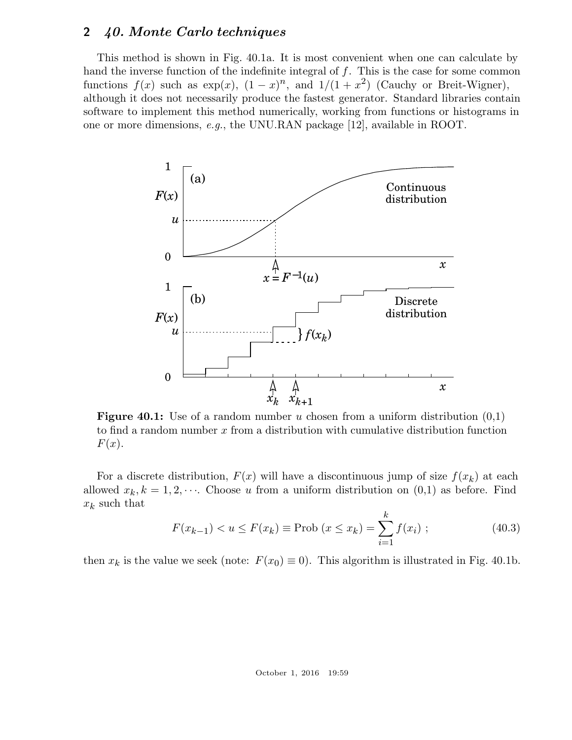This method is shown in Fig. 40.1a. It is most convenient when one can calculate by hand the inverse function of the indefinite integral of  $f$ . This is the case for some common functions  $f(x)$  such as  $\exp(x)$ ,  $(1-x)^n$ , and  $1/(1+x^2)$  (Cauchy or Breit-Wigner), although it does not necessarily produce the fastest generator. Standard libraries contain software to implement this method numerically, working from functions or histograms in one or more dimensions, *e.g.*, the UNU.RAN package [12], available in ROOT.



**Figure 40.1:** Use of a random number u chosen from a uniform distribution  $(0,1)$ to find a random number  $x$  from a distribution with cumulative distribution function  $F(x)$ .

For a discrete distribution,  $F(x)$  will have a discontinuous jump of size  $f(x_k)$  at each allowed  $x_k, k = 1, 2, \cdots$ . Choose u from a uniform distribution on  $(0,1)$  as before. Find  $x_k$  such that

$$
F(x_{k-1}) < u \le F(x_k) \equiv \text{Prob}\left(x \le x_k\right) = \sum_{i=1}^k f(x_i) \tag{40.3}
$$

then  $x_k$  is the value we seek (note:  $F(x_0) \equiv 0$ ). This algorithm is illustrated in Fig. 40.1b.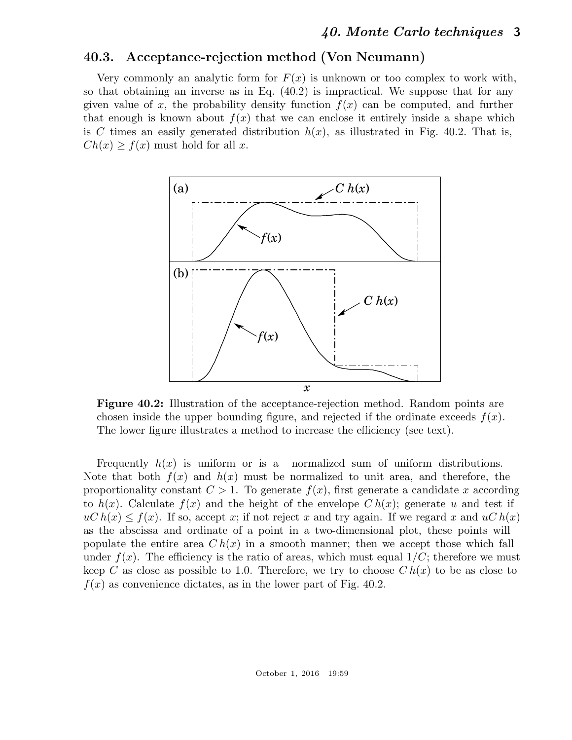## 40.3. Acceptance-rejection method (Von Neumann)

Very commonly an analytic form for  $F(x)$  is unknown or too complex to work with, so that obtaining an inverse as in Eq. (40.2) is impractical. We suppose that for any given value of x, the probability density function  $f(x)$  can be computed, and further that enough is known about  $f(x)$  that we can enclose it entirely inside a shape which is C times an easily generated distribution  $h(x)$ , as illustrated in Fig. 40.2. That is,  $Ch(x) \geq f(x)$  must hold for all x.



Figure 40.2: Illustration of the acceptance-rejection method. Random points are chosen inside the upper bounding figure, and rejected if the ordinate exceeds  $f(x)$ . The lower figure illustrates a method to increase the efficiency (see text).

Frequently  $h(x)$  is uniform or is a normalized sum of uniform distributions. Note that both  $f(x)$  and  $h(x)$  must be normalized to unit area, and therefore, the proportionality constant  $C > 1$ . To generate  $f(x)$ , first generate a candidate x according to  $h(x)$ . Calculate  $f(x)$  and the height of the envelope  $Ch(x)$ ; generate u and test if  $uC h(x) \leq f(x)$ . If so, accept x; if not reject x and try again. If we regard x and  $uC h(x)$ as the abscissa and ordinate of a point in a two-dimensional plot, these points will populate the entire area  $Ch(x)$  in a smooth manner; then we accept those which fall under  $f(x)$ . The efficiency is the ratio of areas, which must equal  $1/C$ ; therefore we must keep C as close as possible to 1.0. Therefore, we try to choose  $Ch(x)$  to be as close to  $f(x)$  as convenience dictates, as in the lower part of Fig. 40.2.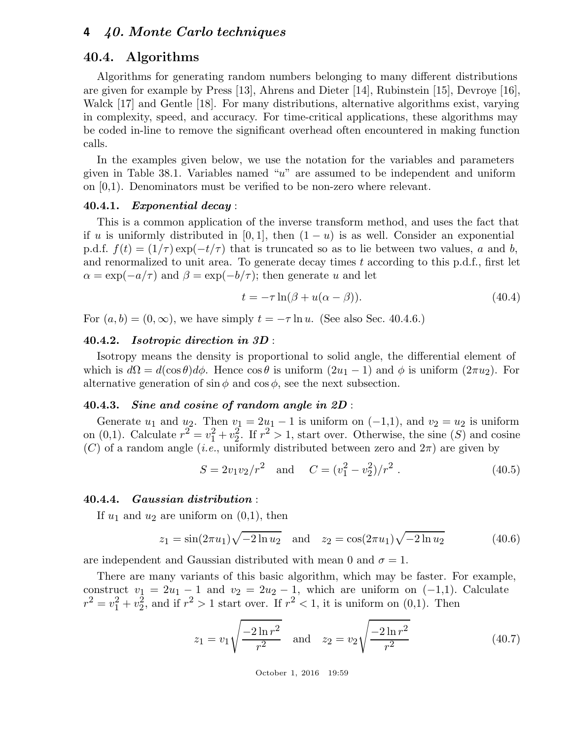### 40.4. Algorithms

Algorithms for generating random numbers belonging to many different distributions are given for example by Press [13], Ahrens and Dieter [14], Rubinstein [15], Devroye [16], Walck [17] and Gentle [18]. For many distributions, alternative algorithms exist, varying in complexity, speed, and accuracy. For time-critical applications, these algorithms may be coded in-line to remove the significant overhead often encountered in making function calls.

In the examples given below, we use the notation for the variables and parameters given in Table 38.1. Variables named "u" are assumed to be independent and uniform on [0,1). Denominators must be verified to be non-zero where relevant.

### 40.4.1. Exponential decay :

This is a common application of the inverse transform method, and uses the fact that if u is uniformly distributed in [0, 1], then  $(1 - u)$  is as well. Consider an exponential p.d.f.  $f(t) = (1/\tau) \exp(-t/\tau)$  that is truncated so as to lie between two values, a and b, and renormalized to unit area. To generate decay times  $t$  according to this p.d.f., first let  $\alpha = \exp(-a/\tau)$  and  $\beta = \exp(-b/\tau)$ ; then generate u and let

$$
t = -\tau \ln(\beta + u(\alpha - \beta)).\tag{40.4}
$$

For  $(a, b) = (0, \infty)$ , we have simply  $t = -\tau \ln u$ . (See also Sec. 40.4.6.)

#### 40.4.2. Isotropic direction in 3D :

Isotropy means the density is proportional to solid angle, the differential element of which is  $d\Omega = d(\cos\theta)d\phi$ . Hence  $\cos\theta$  is uniform  $(2u_1 - 1)$  and  $\phi$  is uniform  $(2\pi u_2)$ . For alternative generation of  $\sin \phi$  and  $\cos \phi$ , see the next subsection.

#### 40.4.3. Sine and cosine of random angle in 2D :

Generate  $u_1$  and  $u_2$ . Then  $v_1 = 2u_1 - 1$  is uniform on  $(-1,1)$ , and  $v_2 = u_2$  is uniform on (0,1). Calculate  $r^2 = v_1^2 + v_2^2$  $2\frac{2}{2}$ . If  $r^2 > 1$ , start over. Otherwise, the sine  $(S)$  and cosine  $(C)$  of a random angle *(i.e.*, uniformly distributed between zero and  $2\pi$ ) are given by

$$
S = 2v_1v_2/r^2 \quad \text{and} \quad C = (v_1^2 - v_2^2)/r^2 \ . \tag{40.5}
$$

#### 40.4.4. Gaussian distribution :

If  $u_1$  and  $u_2$  are uniform on  $(0,1)$ , then

$$
z_1 = \sin(2\pi u_1)\sqrt{-2\ln u_2} \quad \text{and} \quad z_2 = \cos(2\pi u_1)\sqrt{-2\ln u_2} \tag{40.6}
$$

are independent and Gaussian distributed with mean 0 and  $\sigma = 1$ .

There are many variants of this basic algorithm, which may be faster. For example, construct  $v_1 = 2u_1 - 1$  and  $v_2 = 2u_2 - 1$ , which are uniform on  $(-1,1)$ . Calculate  $r^2 = v_1^2 + v_2^2$  $\frac{2}{2}$ , and if  $r^2 > 1$  start over. If  $r^2 < 1$ , it is uniform on  $(0,1)$ . Then

$$
z_1 = v_1 \sqrt{\frac{-2\ln r^2}{r^2}} \quad \text{and} \quad z_2 = v_2 \sqrt{\frac{-2\ln r^2}{r^2}} \tag{40.7}
$$

October 1, 2016 19:59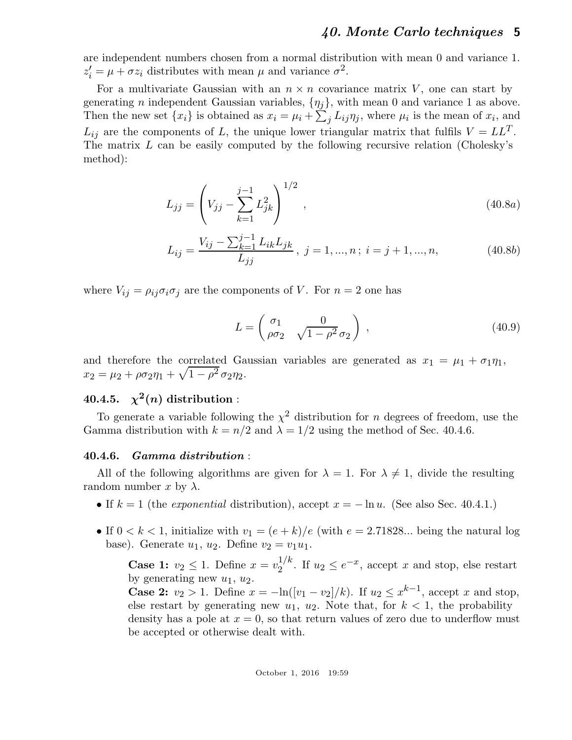are independent numbers chosen from a normal distribution with mean 0 and variance 1.  $z'_i = \mu + \sigma z_i$  distributes with mean  $\mu$  and variance  $\sigma^2$ .

For a multivariate Gaussian with an  $n \times n$  covariance matrix V, one can start by generating *n* independent Gaussian variables,  $\{\eta_i\}$ , with mean 0 and variance 1 as above. Then the new set  $\{x_i\}$  is obtained as  $x_i = \mu_i + \sum_j L_{ij} \eta_j$ , where  $\mu_i$  is the mean of  $x_i$ , and  $L_{ij}$  are the components of L, the unique lower triangular matrix that fulfils  $V = LL^T$ . The matrix L can be easily computed by the following recursive relation (Cholesky's method):

$$
L_{jj} = \left(V_{jj} - \sum_{k=1}^{j-1} L_{jk}^2\right)^{1/2},\tag{40.8a}
$$

$$
L_{ij} = \frac{V_{ij} - \sum_{k=1}^{j-1} L_{ik} L_{jk}}{L_{jj}}, \ j = 1, ..., n; \ i = j + 1, ..., n,
$$
 (40.8b)

where  $V_{ij} = \rho_{ij}\sigma_i\sigma_j$  are the components of V. For  $n = 2$  one has

$$
L = \begin{pmatrix} \sigma_1 & 0 \\ \rho \sigma_2 & \sqrt{1 - \rho^2} \sigma_2 \end{pmatrix},
$$
 (40.9)

and therefore the correlated Gaussian variables are generated as  $x_1 = \mu_1 + \sigma_1 \eta_1$ ,  $x_2 = \mu_2 + \rho \sigma_2 \eta_1 + \sqrt{1 - \rho^2} \sigma_2 \eta_2.$ 

# $40.4.5$ .  $\chi^2(n)$  distribution :

To generate a variable following the  $\chi^2$  distribution for n degrees of freedom, use the Gamma distribution with  $k = n/2$  and  $\lambda = 1/2$  using the method of Sec. 40.4.6.

#### 40.4.6. Gamma distribution :

All of the following algorithms are given for  $\lambda = 1$ . For  $\lambda \neq 1$ , divide the resulting random number x by  $\lambda$ .

- If  $k = 1$  (the *exponential* distribution), accept  $x = -\ln u$ . (See also Sec. 40.4.1.)
- If  $0 < k < 1$ , initialize with  $v_1 = (e + k)/e$  (with  $e = 2.71828...$  being the natural log base). Generate  $u_1, u_2$ . Define  $v_2 = v_1u_1$ .

**Case 1:**  $v_2 \leq 1$ . Define  $x = v_2^{1/k}$  $\frac{1}{2}$ <sup>'</sup>. If  $u_2 \le e^{-x}$ , accept x and stop, else restart by generating new  $u_1, u_2$ .

**Case 2:**  $v_2 > 1$ . Define  $x = -\ln([v_1 - v_2]/k)$ . If  $u_2 \leq x^{k-1}$ , accept x and stop, else restart by generating new  $u_1, u_2$ . Note that, for  $k < 1$ , the probability density has a pole at  $x = 0$ , so that return values of zero due to underflow must be accepted or otherwise dealt with.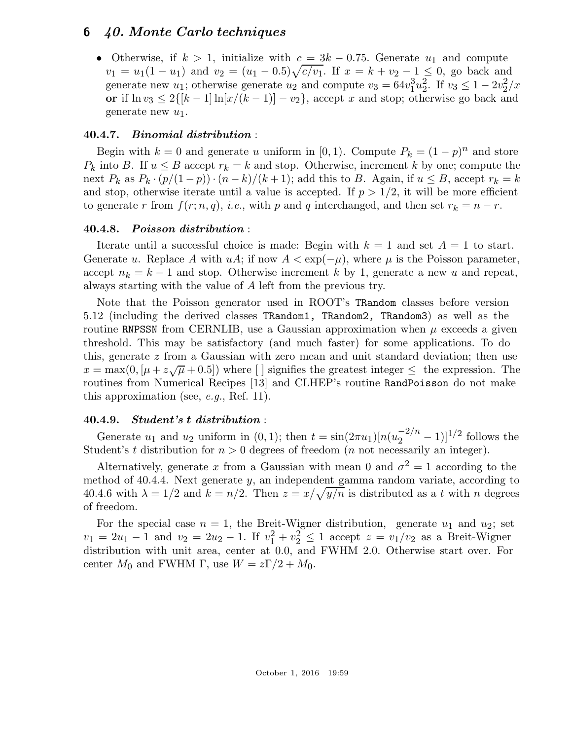• Otherwise, if  $k > 1$ , initialize with  $c = 3k - 0.75$ . Generate  $u_1$  and compute  $v_1 = u_1(1 - u_1)$  and  $v_2 = (u_1 - 0.5)\sqrt{c/v_1}$ . If  $x = k + v_2 - 1 \le 0$ , go back and generate new  $u_1$ ; otherwise generate  $u_2$  and compute  $v_3 = 64v_1^3$  $\frac{3}{1}u_2^{\bar 2}$  $\overline{2}$ . If  $v_3 \leq 1 - 2v_2^2$  $\frac{2}{2}$ /x or if  $\ln v_3 \leq 2\{[k-1]\ln[x/(k-1)] - v_2\}$ , accept x and stop; otherwise go back and generate new  $u_1$ .

## 40.4.7. Binomial distribution :

Begin with  $k = 0$  and generate u uniform in [0, 1). Compute  $P_k = (1 - p)^n$  and store  $P_k$  into B. If  $u \leq B$  accept  $r_k = k$  and stop. Otherwise, increment k by one; compute the next  $P_k$  as  $P_k \cdot (p/(1-p)) \cdot (n-k)/(k+1)$ ; add this to B. Again, if  $u \leq B$ , accept  $r_k = k$ and stop, otherwise iterate until a value is accepted. If  $p > 1/2$ , it will be more efficient to generate r from  $f(r; n, q)$ , *i.e.*, with p and q interchanged, and then set  $r_k = n - r$ .

## 40.4.8. Poisson distribution :

Iterate until a successful choice is made: Begin with  $k = 1$  and set  $A = 1$  to start. Generate u. Replace A with uA; if now  $A < \exp(-\mu)$ , where  $\mu$  is the Poisson parameter, accept  $n_k = k - 1$  and stop. Otherwise increment k by 1, generate a new u and repeat, always starting with the value of A left from the previous try.

Note that the Poisson generator used in ROOT's TRandom classes before version 5.12 (including the derived classes TRandom1, TRandom2, TRandom3) as well as the routine RNPSSN from CERNLIB, use a Gaussian approximation when  $\mu$  exceeds a given threshold. This may be satisfactory (and much faster) for some applications. To do this, generate z from a Gaussian with zero mean and unit standard deviation; then use  $x = \max(0, [\mu + z\sqrt{\mu} + 0.5])$  where [] signifies the greatest integer  $\leq$  the expression. The routines from Numerical Recipes [13] and CLHEP's routine RandPoisson do not make this approximation (see, *e.g.*, Ref. 11).

## 40.4.9. Student's t distribution :

Generate  $u_1$  and  $u_2$  uniform in (0, 1); then  $t = \sin(2\pi u_1)[n(u_2^{-2/n} - 1)]^{1/2}$  follows the Student's t distribution for  $n > 0$  degrees of freedom (*n* not necessarily an integer).

Alternatively, generate x from a Gaussian with mean 0 and  $\sigma^2 = 1$  according to the method of 40.4.4. Next generate y, an independent gamma random variate, according to 40.4.6 with  $\lambda = 1/2$  and  $k = n/2$ . Then  $z = x/\sqrt{y/n}$  is distributed as a t with n degrees of freedom.

For the special case  $n = 1$ , the Breit-Wigner distribution, generate  $u_1$  and  $u_2$ ; set  $v_1 = 2u_1 - 1$  and  $v_2 = 2u_2 - 1$ . If  $v_1^2 + v_2^2 \le 1$  accept  $z = v_1/v_2$  as a Breit-Wigner distribution with unit area, center at 0.0, and FWHM 2.0. Otherwise start over. For center  $M_0$  and FWHM Γ, use  $W = z\Gamma/2 + M_0$ .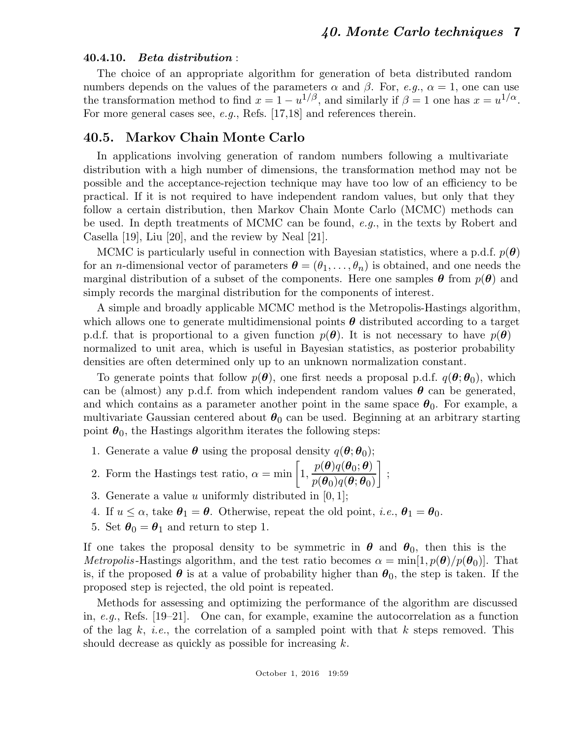### 40.4.10. Beta distribution :

The choice of an appropriate algorithm for generation of beta distributed random numbers depends on the values of the parameters  $\alpha$  and  $\beta$ . For, *e.g.*,  $\alpha = 1$ , one can use the transformation method to find  $x = 1 - u^{1/\beta}$ , and similarly if  $\beta = 1$  one has  $x = u^{1/\alpha}$ . For more general cases see, *e.g.*, Refs. [17,18] and references therein.

## 40.5. Markov Chain Monte Carlo

In applications involving generation of random numbers following a multivariate distribution with a high number of dimensions, the transformation method may not be possible and the acceptance-rejection technique may have too low of an efficiency to be practical. If it is not required to have independent random values, but only that they follow a certain distribution, then Markov Chain Monte Carlo (MCMC) methods can be used. In depth treatments of MCMC can be found, *e.g.*, in the texts by Robert and Casella [19], Liu [20], and the review by Neal [21].

MCMC is particularly useful in connection with Bayesian statistics, where a p.d.f.  $p(\theta)$ for an *n*-dimensional vector of parameters  $\boldsymbol{\theta} = (\theta_1, \dots, \theta_n)$  is obtained, and one needs the marginal distribution of a subset of the components. Here one samples  $\theta$  from  $p(\theta)$  and simply records the marginal distribution for the components of interest.

A simple and broadly applicable MCMC method is the Metropolis-Hastings algorithm, which allows one to generate multidimensional points  $\theta$  distributed according to a target p.d.f. that is proportional to a given function  $p(\theta)$ . It is not necessary to have  $p(\theta)$ normalized to unit area, which is useful in Bayesian statistics, as posterior probability densities are often determined only up to an unknown normalization constant.

To generate points that follow  $p(\theta)$ , one first needs a proposal p.d.f.  $q(\theta; \theta_0)$ , which can be (almost) any p.d.f. from which independent random values  $\theta$  can be generated, and which contains as a parameter another point in the same space  $\theta_0$ . For example, a multivariate Gaussian centered about  $\theta_0$  can be used. Beginning at an arbitrary starting point  $\theta_0$ , the Hastings algorithm iterates the following steps:

- 1. Generate a value  $\boldsymbol{\theta}$  using the proposal density  $q(\boldsymbol{\theta}; \boldsymbol{\theta}_0);$
- 2. Form the Hastings test ratio,  $\alpha = \min \left[ 1, \right]$  $p(\boldsymbol{\theta})q(\boldsymbol{\theta}_0;\boldsymbol{\theta})$  $p(\bm{\theta}_0)q(\bm{\theta};\bm{\theta}_0)$ 1 ;
- 3. Generate a value u uniformly distributed in  $[0, 1]$ ;
- 4. If  $u \leq \alpha$ , take  $\theta_1 = \theta$ . Otherwise, repeat the old point, *i.e.*,  $\theta_1 = \theta_0$ .
- 5. Set  $\theta_0 = \theta_1$  and return to step 1.

If one takes the proposal density to be symmetric in  $\theta$  and  $\theta_0$ , then this is the *Metropolis*-Hastings algorithm, and the test ratio becomes  $\alpha = \min[1, p(\theta)/p(\theta_0)]$ . That is, if the proposed  $\theta$  is at a value of probability higher than  $\theta_0$ , the step is taken. If the proposed step is rejected, the old point is repeated.

Methods for assessing and optimizing the performance of the algorithm are discussed in, *e.g.*, Refs. [19–21]. One can, for example, examine the autocorrelation as a function of the lag  $k$ , *i.e.*, the correlation of a sampled point with that  $k$  steps removed. This should decrease as quickly as possible for increasing k.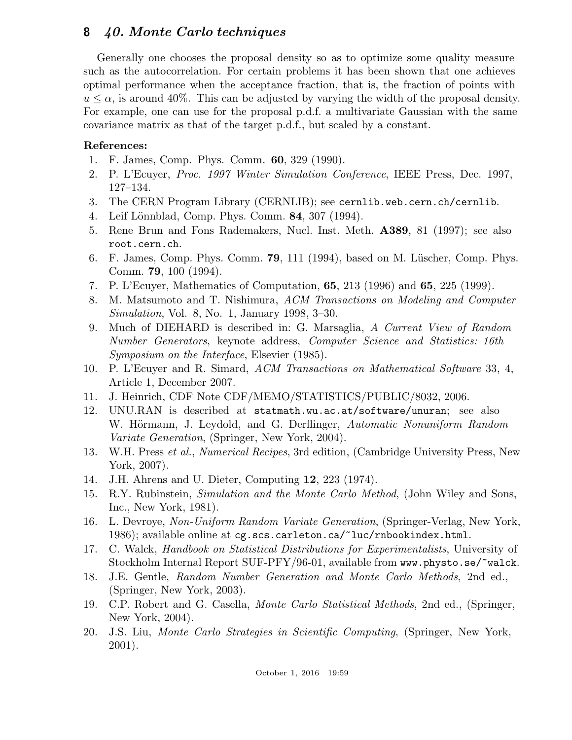Generally one chooses the proposal density so as to optimize some quality measure such as the autocorrelation. For certain problems it has been shown that one achieves optimal performance when the acceptance fraction, that is, the fraction of points with  $u \leq \alpha$ , is around 40%. This can be adjusted by varying the width of the proposal density. For example, one can use for the proposal p.d.f. a multivariate Gaussian with the same covariance matrix as that of the target p.d.f., but scaled by a constant.

## References:

- 1. F. James, Comp. Phys. Comm. 60, 329 (1990).
- 2. P. L'Ecuyer, *Proc. 1997 Winter Simulation Conference*, IEEE Press, Dec. 1997, 127–134.
- 3. The CERN Program Library (CERNLIB); see cernlib.web.cern.ch/cernlib.
- 4. Leif Lönnblad, Comp. Phys. Comm. **84**, 307 (1994).
- 5. Rene Brun and Fons Rademakers, Nucl. Inst. Meth. A389, 81 (1997); see also root.cern.ch.
- 6. F. James, Comp. Phys. Comm.  $79$ , 111 (1994), based on M. Lüscher, Comp. Phys. Comm. 79, 100 (1994).
- 7. P. L'Ecuyer, Mathematics of Computation, 65, 213 (1996) and 65, 225 (1999).
- 8. M. Matsumoto and T. Nishimura, *ACM Transactions on Modeling and Computer Simulation*, Vol. 8, No. 1, January 1998, 3–30.
- 9. Much of DIEHARD is described in: G. Marsaglia, *A Current View of Random Number Generators*, keynote address, *Computer Science and Statistics: 16th Symposium on the Interface*, Elsevier (1985).
- 10. P. L'Ecuyer and R. Simard, *ACM Transactions on Mathematical Software* 33, 4, Article 1, December 2007.
- 11. J. Heinrich, CDF Note CDF/MEMO/STATISTICS/PUBLIC/8032, 2006.
- 12. UNU.RAN is described at statmath.wu.ac.at/software/unuran; see also W. Hörmann, J. Leydold, and G. Derflinger, *Automatic Nonuniform Random Variate Generation*, (Springer, New York, 2004).
- 13. W.H. Press *et al.*, *Numerical Recipes*, 3rd edition, (Cambridge University Press, New York, 2007).
- 14. J.H. Ahrens and U. Dieter, Computing 12, 223 (1974).
- 15. R.Y. Rubinstein, *Simulation and the Monte Carlo Method*, (John Wiley and Sons, Inc., New York, 1981).
- 16. L. Devroye, *Non-Uniform Random Variate Generation*, (Springer-Verlag, New York, 1986); available online at cg.scs.carleton.ca/~luc/rnbookindex.html.
- 17. C. Walck, *Handbook on Statistical Distributions for Experimentalists*, University of Stockholm Internal Report SUF-PFY/96-01, available from www.physto.se/~walck.
- 18. J.E. Gentle, *Random Number Generation and Monte Carlo Methods*, 2nd ed., (Springer, New York, 2003).
- 19. C.P. Robert and G. Casella, *Monte Carlo Statistical Methods*, 2nd ed., (Springer, New York, 2004).
- 20. J.S. Liu, *Monte Carlo Strategies in Scientific Computing*, (Springer, New York, 2001).